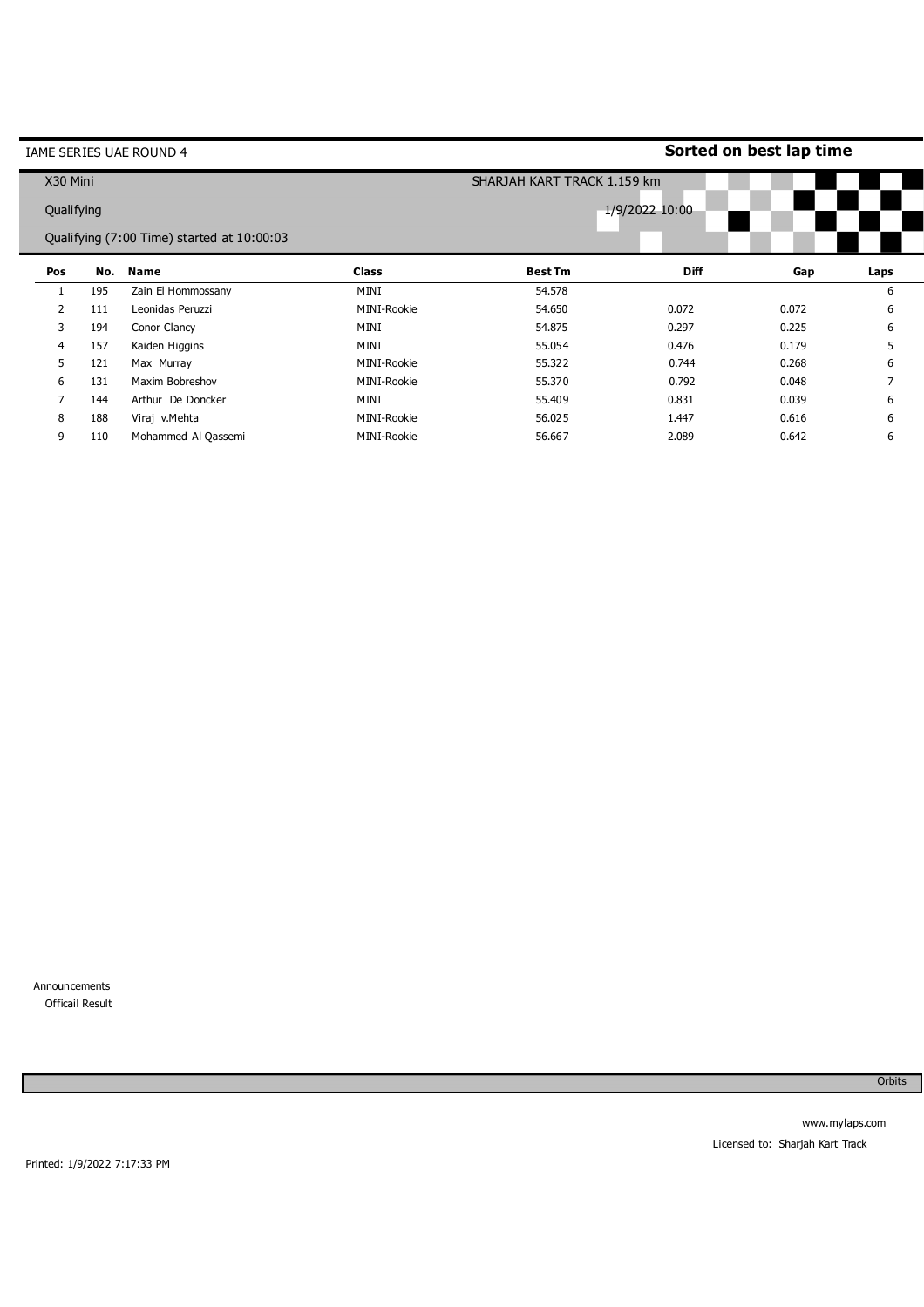| IAME SERIES UAE ROUND 4 |     |                                            |                | Sorted on best lap time     |             |       |                |  |  |
|-------------------------|-----|--------------------------------------------|----------------|-----------------------------|-------------|-------|----------------|--|--|
| X30 Mini                |     |                                            |                | SHARJAH KART TRACK 1.159 km |             |       |                |  |  |
| Qualifying              |     |                                            | 1/9/2022 10:00 |                             |             |       |                |  |  |
|                         |     | Qualifying (7:00 Time) started at 10:00:03 |                |                             |             |       |                |  |  |
| Pos                     | No. | <b>Name</b>                                | <b>Class</b>   | <b>Best Tm</b>              | <b>Diff</b> | Gap   | Laps           |  |  |
|                         | 195 | Zain El Hommossany                         | MINI           | 54.578                      |             |       | 6              |  |  |
| $\overline{2}$          | 111 | Leonidas Peruzzi                           | MINI-Rookie    | 54.650                      | 0.072       | 0.072 | 6              |  |  |
| 3                       | 194 | Conor Clancy                               | MINI           | 54.875                      | 0.297       | 0.225 | 6              |  |  |
| 4                       | 157 | Kaiden Higgins                             | MINI           | 55.054                      | 0.476       | 0.179 | 5              |  |  |
| 5                       | 121 | Max Murray                                 | MINI-Rookie    | 55.322                      | 0.744       | 0.268 | 6              |  |  |
| 6                       | 131 | Maxim Bobreshov                            | MINI-Rookie    | 55.370                      | 0.792       | 0.048 | $\overline{7}$ |  |  |
| 7                       | 144 | Arthur De Doncker                          | MINI           | 55.409                      | 0.831       | 0.039 | 6              |  |  |
| 8                       | 188 | Viraj v.Mehta                              | MINI-Rookie    | 56.025                      | 1.447       | 0.616 | 6              |  |  |
| 9                       | 110 | Mohammed Al Qassemi                        | MINI-Rookie    | 56.667                      | 2.089       | 0.642 | 6              |  |  |

Announcements Officail Result

Ė

Orbits

Printed: 1/9/2022 7:17:33 PM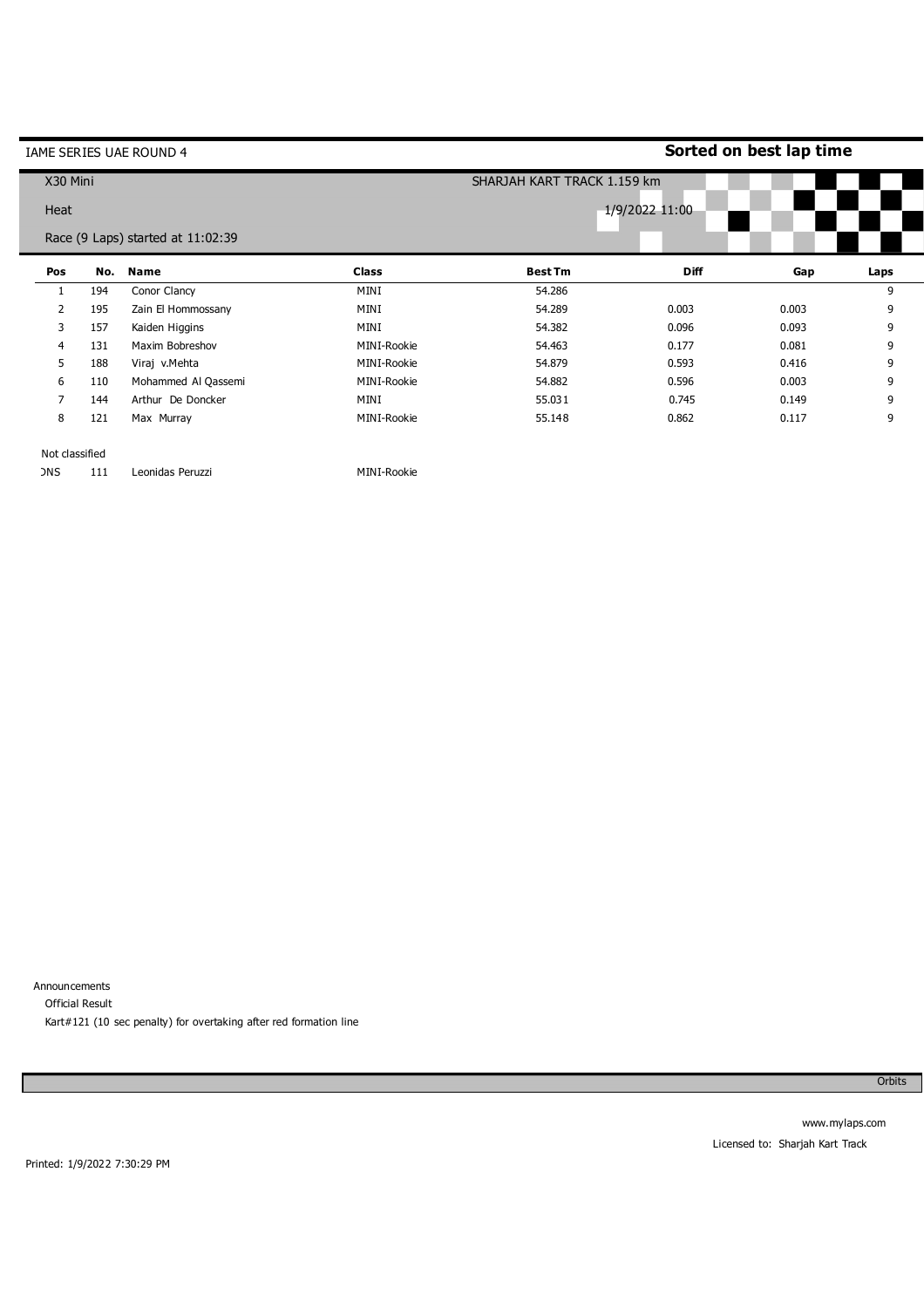| IAME SERIES UAE ROUND 4           |     |                     |              | Sorted on best lap time     |             |       |      |  |  |
|-----------------------------------|-----|---------------------|--------------|-----------------------------|-------------|-------|------|--|--|
| X30 Mini                          |     |                     |              | SHARJAH KART TRACK 1.159 km |             |       |      |  |  |
| Heat                              |     |                     |              | 1/9/2022 11:00              |             |       |      |  |  |
| Race (9 Laps) started at 11:02:39 |     |                     |              |                             |             |       |      |  |  |
| Pos                               | No. | <b>Name</b>         | <b>Class</b> | <b>Best Tm</b>              | <b>Diff</b> | Gap   | Laps |  |  |
|                                   | 194 | Conor Clancy        | MINI         | 54.286                      |             |       | 9    |  |  |
| $\overline{2}$                    | 195 | Zain El Hommossany  | MINI         | 54.289                      | 0.003       | 0.003 | 9    |  |  |
| 3                                 | 157 | Kaiden Higgins      | MINI         | 54.382                      | 0.096       | 0.093 | 9    |  |  |
| 4                                 | 131 | Maxim Bobreshov     | MINI-Rookie  | 54.463                      | 0.177       | 0.081 | 9    |  |  |
| 5.                                | 188 | Viraj v.Mehta       | MINI-Rookie  | 54.879                      | 0.593       | 0.416 | 9    |  |  |
| 6                                 | 110 | Mohammed Al Qassemi | MINI-Rookie  | 54.882                      | 0.596       | 0.003 | 9    |  |  |
| 7                                 | 144 | Arthur De Doncker   | MINI         | 55.031                      | 0.745       | 0.149 | 9    |  |  |
| 8                                 | 121 | Max Murray          | MINI-Rookie  | 55.148                      | 0.862       | 0.117 | 9    |  |  |
|                                   |     |                     |              |                             |             |       |      |  |  |

Not classified

DNS 111 Leonidas Peruzzi MINI-Rookie

Announcements Official Result Kart#121 (10 sec penalty) for overtaking after red formation line

Orbits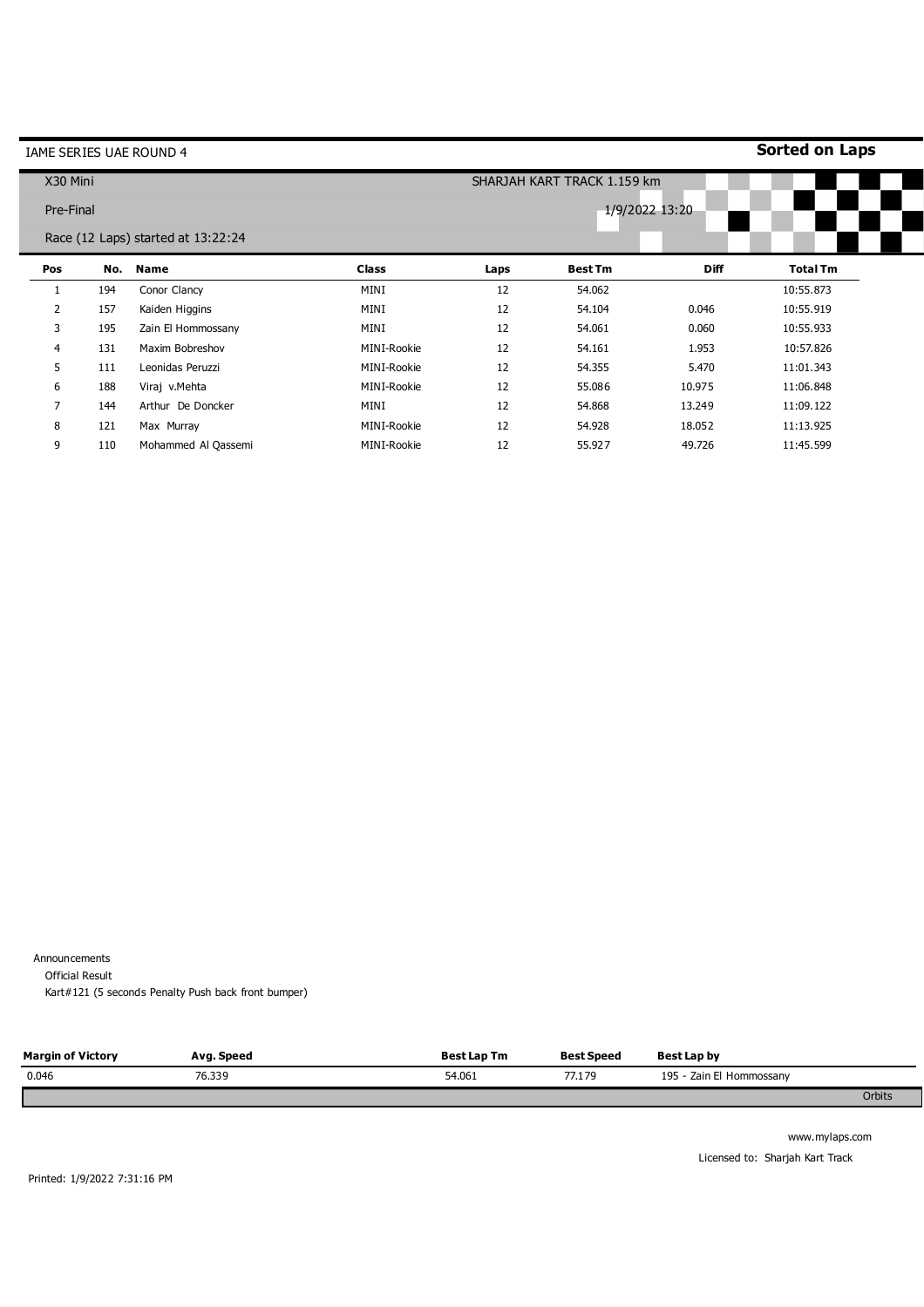| IAME SERIES UAE ROUND 4 |     |                                    |              |                             |                |             | <b>Sorted on Laps</b> |  |
|-------------------------|-----|------------------------------------|--------------|-----------------------------|----------------|-------------|-----------------------|--|
| X30 Mini                |     |                                    |              | SHARJAH KART TRACK 1.159 km |                |             |                       |  |
| Pre-Final               |     |                                    |              | 1/9/2022 13:20              |                |             |                       |  |
|                         |     | Race (12 Laps) started at 13:22:24 |              |                             |                |             |                       |  |
| Pos                     |     | No. Name                           | <b>Class</b> | Laps                        | <b>Best Tm</b> | <b>Diff</b> | <b>Total Tm</b>       |  |
| 1                       | 194 | Conor Clancy                       | MINI         | 12                          | 54.062         |             | 10:55.873             |  |
| $\overline{2}$          | 157 | Kaiden Higgins                     | MINI         | 12                          | 54.104         | 0.046       | 10:55.919             |  |
| 3                       | 195 | Zain El Hommossany                 | MINI         | 12                          | 54.061         | 0.060       | 10:55.933             |  |
| 4                       | 131 | Maxim Bobreshov                    | MINI-Rookie  | 12                          | 54.161         | 1.953       | 10:57.826             |  |
| 5                       | 111 | Leonidas Peruzzi                   | MINI-Rookie  | 12                          | 54.355         | 5.470       | 11:01.343             |  |
| 6                       | 188 | Viraj v.Mehta                      | MINI-Rookie  | 12                          | 55.086         | 10.975      | 11:06.848             |  |
| 7                       | 144 | Arthur De Doncker                  | MINI         | 12                          | 54.868         | 13.249      | 11:09.122             |  |
| 8                       | 121 | Max Murray                         | MINI-Rookie  | 12                          | 54.928         | 18.052      | 11:13.925             |  |
| 9                       | 110 | Mohammed Al Qassemi                | MINI-Rookie  | 12                          | 55.927         | 49.726      | 11:45.599             |  |

Announcements

Official Result

Kart#121 (5 seconds Penalty Push back front bumper)

| <b>Margin of Victory</b> | Avg. Speed | <b>Best Lap Tm</b> | <b>Best Speed</b> | Best Lap by              |  |
|--------------------------|------------|--------------------|-------------------|--------------------------|--|
| 0.046                    | 76.339     | 54.061             | 77.179            | 195 - Zain El Hommossany |  |
|                          |            |                    |                   | Orbits                   |  |